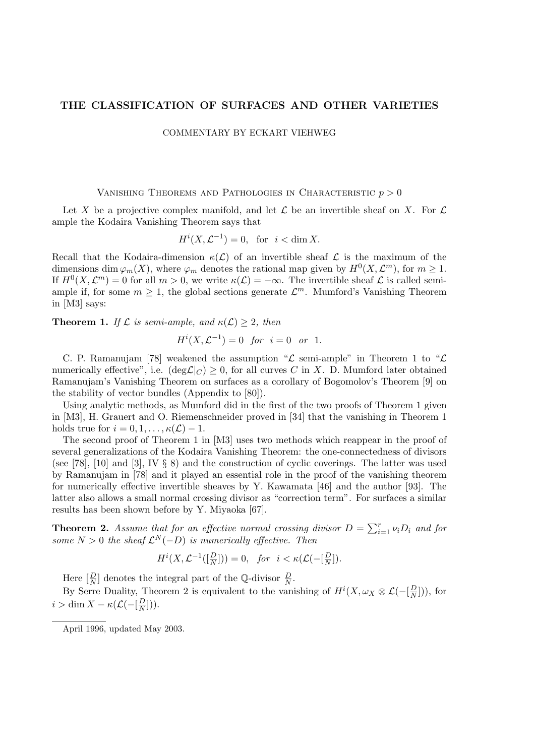# THE CLASSIFICATION OF SURFACES AND OTHER VARIETIES

COMMENTARY BY ECKART VIEHWEG

# VANISHING THEOREMS AND PATHOLOGIES IN CHARACTERISTIC  $p > 0$

Let X be a projective complex manifold, and let  $\mathcal L$  be an invertible sheaf on X. For  $\mathcal L$ ample the Kodaira Vanishing Theorem says that

$$
H^i(X, \mathcal{L}^{-1}) = 0, \text{ for } i < \dim X.
$$

Recall that the Kodaira-dimension  $\kappa(\mathcal{L})$  of an invertible sheaf  $\mathcal L$  is the maximum of the dimensions dim  $\varphi_m(X)$ , where  $\varphi_m$  denotes the rational map given by  $H^0(X, \mathcal{L}^m)$ , for  $m \geq 1$ . If  $H^0(X, \mathcal{L}^m) = 0$  for all  $m > 0$ , we write  $\kappa(\mathcal{L}) = -\infty$ . The invertible sheaf  $\mathcal L$  is called semiample if, for some  $m \geq 1$ , the global sections generate  $\mathcal{L}^m$ . Mumford's Vanishing Theorem in [M3] says:

**Theorem 1.** If  $\mathcal L$  is semi-ample, and  $\kappa(\mathcal L) \geq 2$ , then

$$
H^{i}(X, \mathcal{L}^{-1}) = 0 \text{ for } i = 0 \text{ or } 1.
$$

C. P. Ramanujam [78] weakened the assumption " $\mathcal L$  semi-ample" in Theorem 1 to " $\mathcal L$ numerically effective", i.e.  $(\deg \mathcal{L}|_C) \geq 0$ , for all curves C in X. D. Mumford later obtained Ramanujam's Vanishing Theorem on surfaces as a corollary of Bogomolov's Theorem [9] on the stability of vector bundles (Appendix to [80]).

Using analytic methods, as Mumford did in the first of the two proofs of Theorem 1 given in [M3], H. Grauert and O. Riemenschneider proved in [34] that the vanishing in Theorem 1 holds true for  $i = 0, 1, \ldots, \kappa(\mathcal{L}) - 1$ .

The second proof of Theorem 1 in [M3] uses two methods which reappear in the proof of several generalizations of the Kodaira Vanishing Theorem: the one-connectedness of divisors (see [78], [10] and [3], IV  $\S$  8) and the construction of cyclic coverings. The latter was used by Ramanujam in [78] and it played an essential role in the proof of the vanishing theorem for numerically effective invertible sheaves by Y. Kawamata [46] and the author [93]. The latter also allows a small normal crossing divisor as "correction term". For surfaces a similar results has been shown before by Y. Miyaoka [67].

**Theorem 2.** Assume that for an effective normal crossing divisor  $D = \sum_{i=1}^{r} \nu_i D_i$  and for some  $N > 0$  the sheaf  $\mathcal{L}^N(-D)$  is numerically effective. Then

$$
H^i(X, \mathcal{L}^{-1}([\frac{D}{N}])) = 0, \quad \text{for} \quad i < \kappa(\mathcal{L}(-[\frac{D}{N}]).
$$

Here  $\left[\frac{D}{N}\right]$  denotes the integral part of the Q-divisor  $\frac{D}{N}$ .

By Serre Duality, Theorem 2 is equivalent to the vanishing of  $H^{i}(X,\omega_X \otimes \mathcal{L})-\left[\frac{D}{N}\right]$  $\frac{D}{N}$ ]), for  $i > \dim X - \kappa ( \mathcal{L}(-\vert \frac{D}{N})$  $\frac{D}{N}$ ])).

April 1996, updated May 2003.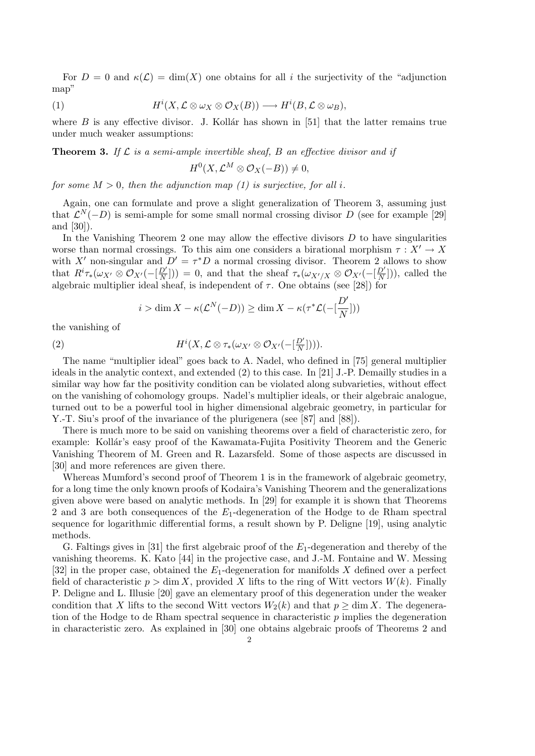For  $D = 0$  and  $\kappa(\mathcal{L}) = \dim(X)$  one obtains for all i the surjectivity of the "adjunction" map"

(1) 
$$
H^{i}(X, \mathcal{L} \otimes \omega_{X} \otimes \mathcal{O}_{X}(B)) \longrightarrow H^{i}(B, \mathcal{L} \otimes \omega_{B}),
$$

where  $B$  is any effective divisor. J. Kollar has shown in [51] that the latter remains true under much weaker assumptions:

**Theorem 3.** If  $\mathcal L$  is a semi-ample invertible sheaf, B an effective divisor and if

$$
H^0(X, \mathcal{L}^M \otimes \mathcal{O}_X(-B)) \neq 0,
$$

for some  $M > 0$ , then the adjunction map (1) is surjective, for all i.

Again, one can formulate and prove a slight generalization of Theorem 3, assuming just that  $\mathcal{L}^{N}(-D)$  is semi-ample for some small normal crossing divisor D (see for example [29] and [30]).

In the Vanishing Theorem 2 one may allow the effective divisors  $D$  to have singularities worse than normal crossings. To this aim one considers a birational morphism  $\tau : X' \to X$ with X' non-singular and  $D' = \tau^*D$  a normal crossing divisor. Theorem 2 allows to show that  $R^i\tau_*(\omega_{X'}\otimes\mathcal{O}_{X'}(-[\frac{D'}{N}$  $\frac{D'}{N}$ )) = 0, and that the sheaf  $\tau_*(\omega_{X'/X} \otimes \mathcal{O}_{X'}(-[\frac{D'}{N}$  $\frac{D'}{N}$ )), called the algebraic multiplier ideal sheaf, is independent of  $\tau$ . One obtains (see [28]) for

$$
i > \dim X - \kappa(\mathcal{L}^N(-D)) \ge \dim X - \kappa(\tau^*\mathcal{L}(-\left[\frac{D'}{N}\right]))
$$

the vanishing of

(2) 
$$
H^{i}(X, \mathcal{L} \otimes \tau_{*}(\omega_{X'} \otimes \mathcal{O}_{X'}(-[\frac{D'}{N}]))).
$$

The name "multiplier ideal" goes back to A. Nadel, who defined in [75] general multiplier ideals in the analytic context, and extended (2) to this case. In [21] J.-P. Demailly studies in a similar way how far the positivity condition can be violated along subvarieties, without effect on the vanishing of cohomology groups. Nadel's multiplier ideals, or their algebraic analogue, turned out to be a powerful tool in higher dimensional algebraic geometry, in particular for Y.-T. Siu's proof of the invariance of the plurigenera (see [87] and [88]).

There is much more to be said on vanishing theorems over a field of characteristic zero, for example: Kollár's easy proof of the Kawamata-Fujita Positivity Theorem and the Generic Vanishing Theorem of M. Green and R. Lazarsfeld. Some of those aspects are discussed in [30] and more references are given there.

Whereas Mumford's second proof of Theorem 1 is in the framework of algebraic geometry, for a long time the only known proofs of Kodaira's Vanishing Theorem and the generalizations given above were based on analytic methods. In [29] for example it is shown that Theorems 2 and 3 are both consequences of the  $E_1$ -degeneration of the Hodge to de Rham spectral sequence for logarithmic differential forms, a result shown by P. Deligne [19], using analytic methods.

G. Faltings gives in [31] the first algebraic proof of the  $E_1$ -degeneration and thereby of the vanishing theorems. K. Kato [44] in the projective case, and J.-M. Fontaine and W. Messing [32] in the proper case, obtained the  $E_1$ -degeneration for manifolds X defined over a perfect field of characteristic  $p > \dim X$ , provided X lifts to the ring of Witt vectors  $W(k)$ . Finally P. Deligne and L. Illusie [20] gave an elementary proof of this degeneration under the weaker condition that X lifts to the second Witt vectors  $W_2(k)$  and that  $p \ge \dim X$ . The degeneration of the Hodge to de Rham spectral sequence in characteristic  $p$  implies the degeneration in characteristic zero. As explained in [30] one obtains algebraic proofs of Theorems 2 and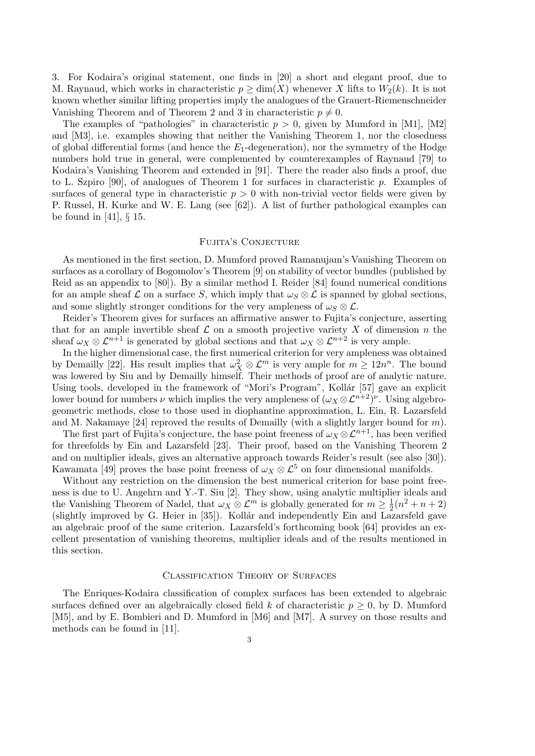3. For Kodaira's original statement, one finds in [20] a short and elegant proof, due to M. Raynaud, which works in characteristic  $p \ge \dim(X)$  whenever X lifts to  $W_2(k)$ . It is not known whether similar lifting properties imply the analogues of the Grauert-Riemenschneider Vanishing Theorem and of Theorem 2 and 3 in characteristic  $p \neq 0$ .

The examples of "pathologies" in characteristic  $p > 0$ , given by Mumford in [M1], [M2] and [M3], i.e. examples showing that neither the Vanishing Theorem 1, nor the closedness of global differential forms (and hence the  $E_1$ -degeneration), nor the symmetry of the Hodge numbers hold true in general, were complemented by counterexamples of Raynaud [79] to Kodaira's Vanishing Theorem and extended in [91]. There the reader also finds a proof, due to L. Szpiro [90], of analogues of Theorem 1 for surfaces in characteristic p. Examples of surfaces of general type in characteristic  $p > 0$  with non-trivial vector fields were given by P. Russel, H. Kurke and W. E. Lang (see [62]). A list of further pathological examples can be found in [41], § 15.

### Fujita's Conjecture

As mentioned in the first section, D. Mumford proved Ramanujam's Vanishing Theorem on surfaces as a corollary of Bogomolov's Theorem [9] on stability of vector bundles (published by Reid as an appendix to [80]). By a similar method I. Reider [84] found numerical conditions for an ample sheaf  $\mathcal L$  on a surface S, which imply that  $\omega_S \otimes \mathcal L$  is spanned by global sections, and some slightly stronger conditions for the very ampleness of  $\omega_S \otimes \mathcal{L}$ .

Reider's Theorem gives for surfaces an affirmative answer to Fujita's conjecture, asserting that for an ample invertible sheaf  $\mathcal L$  on a smooth projective variety X of dimension n the sheaf  $\omega_X \otimes \mathcal{L}^{n+1}$  is generated by global sections and that  $\omega_X \otimes \mathcal{L}^{n+2}$  is very ample.

In the higher dimensional case, the first numerical criterion for very ampleness was obtained by Demailly [22]. His result implies that  $\omega_X^2 \otimes \mathcal{L}^m$  is very ample for  $m \geq 12n^n$ . The bound was lowered by Siu and by Demailly himself. Their methods of proof are of analytic nature. Using tools, developed in the framework of "Mori's Program", Kollár [57] gave an explicit lower bound for numbers  $\nu$  which implies the very ampleness of  $(\omega_X \otimes \mathcal{L}^{n+2})^{\nu}$ . Using algebrogeometric methods, close to those used in diophantine approximation, L. Ein, R. Lazarsfeld and M. Nakamaye [24] reproved the results of Demailly (with a slightly larger bound for  $m$ ).

The first part of Fujita's conjecture, the base point freeness of  $\omega_X \otimes \mathcal{L}^{n+1}$ , has been verified for threefolds by Ein and Lazarsfeld [23]. Their proof, based on the Vanishing Theorem 2 and on multiplier ideals, gives an alternative approach towards Reider's result (see also [30]). Kawamata [49] proves the base point freeness of  $\omega_X \otimes \mathcal{L}^5$  on four dimensional manifolds.

Without any restriction on the dimension the best numerical criterion for base point freeness is due to U. Angehrn and Y.-T. Siu [2]. They show, using analytic multiplier ideals and the Vanishing Theorem of Nadel, that  $\omega_X \otimes \mathcal{L}^m$  is globally generated for  $m \geq \frac{1}{2}$  $\frac{1}{2}(n^2 + n + 2)$ (slightly improved by G. Heier in [35]). Kollár and independently Ein and Lazarsfeld gave an algebraic proof of the same criterion. Lazarsfeld's forthcoming book [64] provides an excellent presentation of vanishing theorems, multiplier ideals and of the results mentioned in this section.

## Classification Theory of Surfaces

The Enriques-Kodaira classification of complex surfaces has been extended to algebraic surfaces defined over an algebraically closed field k of characteristic  $p \geq 0$ , by D. Mumford [M5], and by E. Bombieri and D. Mumford in [M6] and [M7]. A survey on those results and methods can be found in [11].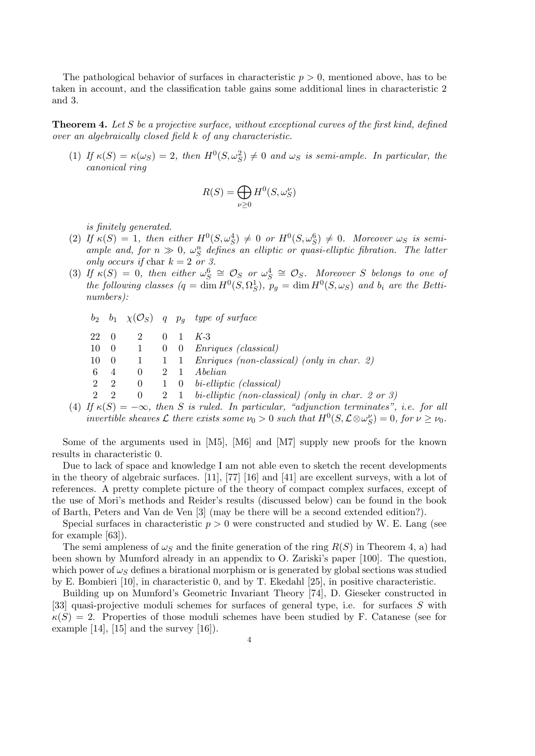The pathological behavior of surfaces in characteristic  $p > 0$ , mentioned above, has to be taken in account, and the classification table gains some additional lines in characteristic 2 and 3.

**Theorem 4.** Let S be a projective surface, without exceptional curves of the first kind, defined over an algebraically closed field k of any characteristic.

(1) If  $\kappa(S) = \kappa(\omega_S) = 2$ , then  $H^0(S, \omega_S^2) \neq 0$  and  $\omega_S$  is semi-ample. In particular, the canonical ring

$$
R(S) = \bigoplus_{\nu \ge 0} H^0(S, \omega_S^{\nu})
$$

is finitely generated.

- (2) If  $\kappa(S) = 1$ , then either  $H^0(S, \omega_S^4) \neq 0$  or  $H^0(S, \omega_S^6) \neq 0$ . Moreover  $\omega_S$  is semiample and, for  $n \gg 0$ ,  $\omega_S^n$  defines an elliptic or quasi-elliptic fibration. The latter only occurs if char  $k = 2$  or 3.
- (3) If  $\kappa(S) = 0$ , then either  $\omega_S^6 \cong \mathcal{O}_S$  or  $\omega_S^4 \cong \mathcal{O}_S$ . Moreover S belongs to one of the following classes  $(q = \dim H^0(S, \Omega_S^1), p_g = \dim H^0(S, \omega_S)$  and  $b_i$  are the Bettinumbers):

 $b_2$   $b_1$   $\chi(\mathcal{O}_S)$  q  $p_g$  type of surface 22 0 2 0 1 K-3 10 0 1 0 0 Enriques (classical)  $10 \quad 0 \quad 1 \quad 1 \quad 1$  Enriques (non-classical) (only in char. 2) 6 4 0 2 1 Abelian 2 2 0 1 0 bi-elliptic (classical) 2 2 0 2 1 bi-elliptic (non-classical) (only in char. 2 or 3)

(4) If  $\kappa(S) = -\infty$ , then S is ruled. In particular, "adjunction terminates", i.e. for all invertible sheaves L there exists some  $\nu_0 > 0$  such that  $H^0(S, \mathcal{L} \otimes \omega_S^{\nu}) = 0$ , for  $\nu \geq \nu_0$ .

Some of the arguments used in [M5], [M6] and [M7] supply new proofs for the known results in characteristic 0.

Due to lack of space and knowledge I am not able even to sketch the recent developments in the theory of algebraic surfaces. [11], [77] [16] and [41] are excellent surveys, with a lot of references. A pretty complete picture of the theory of compact complex surfaces, except of the use of Mori's methods and Reider's results (discussed below) can be found in the book of Barth, Peters and Van de Ven [3] (may be there will be a second extended edition?).

Special surfaces in characteristic  $p > 0$  were constructed and studied by W. E. Lang (see for example [63]).

The semi ampleness of  $\omega_S$  and the finite generation of the ring  $R(S)$  in Theorem 4, a) had been shown by Mumford already in an appendix to O. Zariski's paper [100]. The question, which power of  $\omega_{\mathcal{S}}$  defines a birational morphism or is generated by global sections was studied by E. Bombieri [10], in characteristic 0, and by T. Ekedahl [25], in positive characteristic.

Building up on Mumford's Geometric Invariant Theory [74], D. Gieseker constructed in [33] quasi-projective moduli schemes for surfaces of general type, i.e. for surfaces S with  $\kappa(S) = 2$ . Properties of those moduli schemes have been studied by F. Catanese (see for example  $[14]$ ,  $[15]$  and the survey  $[16]$ ).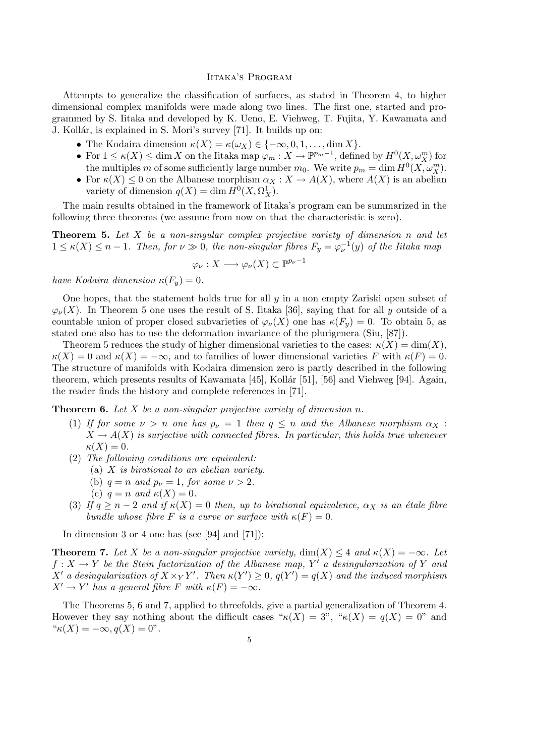#### Iitaka's Program

Attempts to generalize the classification of surfaces, as stated in Theorem 4, to higher dimensional complex manifolds were made along two lines. The first one, started and programmed by S. Iitaka and developed by K. Ueno, E. Viehweg, T. Fujita, Y. Kawamata and J. Kollár, is explained in S. Mori's survey [71]. It builds up on:

- The Kodaira dimension  $\kappa(X) = \kappa(\omega_X) \in \{-\infty, 0, 1, \ldots, \dim X\}.$
- For  $1 \le \kappa(X) \le \dim X$  on the Iitaka map  $\varphi_m : X \to \mathbb{P}^{p_m-1}$ , defined by  $H^0(X, \omega_X^m)$  for the multiples m of some sufficiently large number  $m_0$ . We write  $p_m = \dim H^0(X, \omega_X^m)$ .
- For  $\kappa(X) \leq 0$  on the Albanese morphism  $\alpha_X : X \to A(X)$ , where  $A(X)$  is an abelian variety of dimension  $q(X) = \dim H^0(X, \Omega_X^1)$ .

The main results obtained in the framework of Iitaka's program can be summarized in the following three theorems (we assume from now on that the characteristic is zero).

**Theorem 5.** Let  $X$  be a non-singular complex projective variety of dimension n and let  $1 \le \kappa(X) \le n-1$ . Then, for  $\nu \gg 0$ , the non-singular fibres  $F_y = \varphi_{\nu}^{-1}(y)$  of the Iitaka map

$$
\varphi_{\nu}: X \longrightarrow \varphi_{\nu}(X) \subset \mathbb{P}^{p_{\nu}-1}
$$

have Kodaira dimension  $\kappa(F_u)=0$ .

One hopes, that the statement holds true for all  $y$  in a non empty Zariski open subset of  $\varphi_{\nu}(X)$ . In Theorem 5 one uses the result of S. Iitaka [36], saying that for all y outside of a countable union of proper closed subvarieties of  $\varphi_{\nu}(X)$  one has  $\kappa(F_y) = 0$ . To obtain 5, as stated one also has to use the deformation invariance of the plurigenera (Siu, [87]).

Theorem 5 reduces the study of higher dimensional varieties to the cases:  $\kappa(X) = \dim(X)$ ,  $\kappa(X) = 0$  and  $\kappa(X) = -\infty$ , and to families of lower dimensional varieties F with  $\kappa(F) = 0$ . The structure of manifolds with Kodaira dimension zero is partly described in the following theorem, which presents results of Kawamata [45], Kollár [51], [56] and Viehweg [94]. Again, the reader finds the history and complete references in [71].

**Theorem 6.** Let X be a non-singular projective variety of dimension n.

- (1) If for some  $\nu > n$  one has  $p_{\nu} = 1$  then  $q \leq n$  and the Albanese morphism  $\alpha_X$ :  $X \to A(X)$  is surjective with connected fibres. In particular, this holds true whenever  $\kappa(X) = 0.$
- (2) The following conditions are equivalent:
	- (a) X is birational to an abelian variety.
	- (b)  $q = n$  and  $p_{\nu} = 1$ , for some  $\nu > 2$ .
	- (c)  $q = n$  and  $\kappa(X) = 0$ .
- (3) If  $q \geq n-2$  and if  $\kappa(X) = 0$  then, up to birational equivalence,  $\alpha_X$  is an étale fibre bundle whose fibre F is a curve or surface with  $\kappa(F) = 0$ .

In dimension 3 or 4 one has (see [94] and [71]):

**Theorem 7.** Let X be a non-singular projective variety,  $dim(X) \leq 4$  and  $\kappa(X) = -\infty$ . Let  $f: X \to Y$  be the Stein factorization of the Albanese map, Y' a desingularization of Y and X' a desingularization of  $X \times_Y Y'$ . Then  $\kappa(Y') \geq 0$ ,  $q(Y') = q(X)$  and the induced morphism  $X' \to Y'$  has a general fibre F with  $\kappa(F) = -\infty$ .

The Theorems 5, 6 and 7, applied to threefolds, give a partial generalization of Theorem 4. However they say nothing about the difficult cases " $\kappa(X) = 3$ ", " $\kappa(X) = q(X) = 0$ " and  $\kappa(X) = -\infty, q(X) = 0$ ".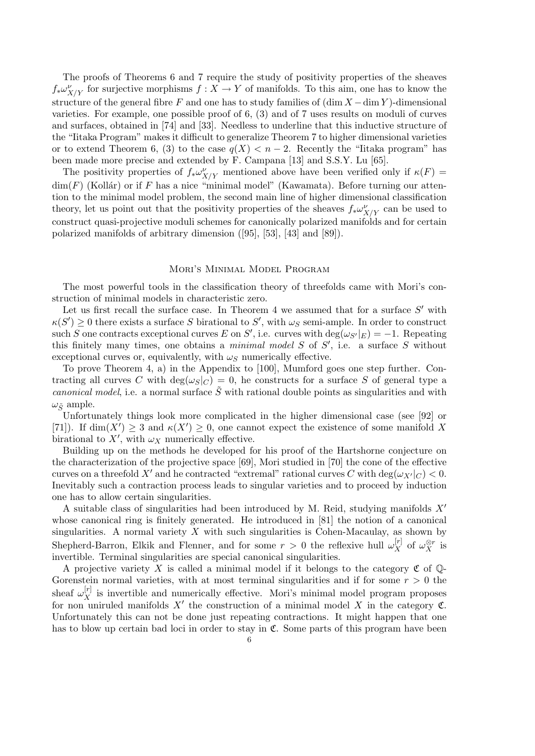The proofs of Theorems 6 and 7 require the study of positivity properties of the sheaves  $f_*\omega_{X/Y}^{\nu}$  for surjective morphisms  $f: X \to Y$  of manifolds. To this aim, one has to know the structure of the general fibre F and one has to study families of  $(\dim X - \dim Y)$ -dimensional varieties. For example, one possible proof of 6, (3) and of 7 uses results on moduli of curves and surfaces, obtained in [74] and [33]. Needless to underline that this inductive structure of the "Iitaka Program" makes it difficult to generalize Theorem 7 to higher dimensional varieties or to extend Theorem 6, (3) to the case  $q(X) < n-2$ . Recently the "Iitaka program" has been made more precise and extended by F. Campana [13] and S.S.Y. Lu [65].

The positivity properties of  $f_*\omega^{\nu}_{X/Y}$  mentioned above have been verified only if  $\kappa(F)$  =  $\dim(F)$  (Kollár) or if F has a nice "minimal model" (Kawamata). Before turning our attention to the minimal model problem, the second main line of higher dimensional classification theory, let us point out that the positivity properties of the sheaves  $f_*\omega_{X/Y}^{\nu}$  can be used to construct quasi-projective moduli schemes for canonically polarized manifolds and for certain polarized manifolds of arbitrary dimension ([95], [53], [43] and [89]).

## Mori's Minimal Model Program

The most powerful tools in the classification theory of threefolds came with Mori's construction of minimal models in characteristic zero.

Let us first recall the surface case. In Theorem 4 we assumed that for a surface  $S'$  with  $\kappa(S') \geq 0$  there exists a surface S birational to S', with  $\omega_S$  semi-ample. In order to construct such S one contracts exceptional curves E on S', i.e. curves with  $\deg(\omega_{S'}|_E) = -1$ . Repeating this finitely many times, one obtains a *minimal model S* of  $S'$ , i.e. a surface S without exceptional curves or, equivalently, with  $\omega<sub>S</sub>$  numerically effective.

To prove Theorem 4, a) in the Appendix to [100], Mumford goes one step further. Contracting all curves C with  $deg(\omega_S|_C) = 0$ , he constructs for a surface S of general type a canonical model, i.e. a normal surface  $\tilde{S}$  with rational double points as singularities and with  $\omega_{\tilde{S}}$  ample.

Unfortunately things look more complicated in the higher dimensional case (see [92] or [71]). If  $\dim(X') \geq 3$  and  $\kappa(X') \geq 0$ , one cannot expect the existence of some manifold X birational to X', with  $\omega_X$  numerically effective.

Building up on the methods he developed for his proof of the Hartshorne conjecture on the characterization of the projective space [69], Mori studied in [70] the cone of the effective curves on a threefold X' and he contracted "extremal" rational curves C with  $\deg(\omega_{X'}|_C) < 0$ . Inevitably such a contraction process leads to singular varieties and to proceed by induction one has to allow certain singularities.

A suitable class of singularities had been introduced by M. Reid, studying manifolds  $X'$ whose canonical ring is finitely generated. He introduced in [81] the notion of a canonical singularities. A normal variety  $X$  with such singularities is Cohen-Macaulay, as shown by Shepherd-Barron, Elkik and Flenner, and for some  $r > 0$  the reflexive hull  $\omega_X^{[r]}$  of  $\omega_X^{\otimes r}$  is invertible. Terminal singularities are special canonical singularities.

A projective variety X is called a minimal model if it belongs to the category  $\mathfrak C$  of  $\mathbb Q$ -Gorenstein normal varieties, with at most terminal singularities and if for some  $r > 0$  the sheaf  $\omega_X^{[r]}$  is invertible and numerically effective. Mori's minimal model program proposes for non uniruled manifolds  $X'$  the construction of a minimal model X in the category  $\mathfrak{C}$ . Unfortunately this can not be done just repeating contractions. It might happen that one has to blow up certain bad loci in order to stay in  $\mathfrak{C}$ . Some parts of this program have been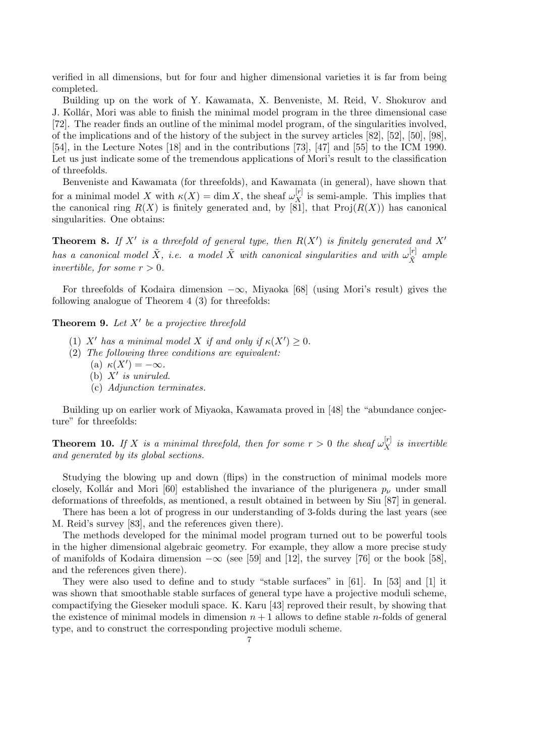verified in all dimensions, but for four and higher dimensional varieties it is far from being completed.

Building up on the work of Y. Kawamata, X. Benveniste, M. Reid, V. Shokurov and J. Kollár, Mori was able to finish the minimal model program in the three dimensional case [72]. The reader finds an outline of the minimal model program, of the singularities involved, of the implications and of the history of the subject in the survey articles [82], [52], [50], [98], [54], in the Lecture Notes [18] and in the contributions [73], [47] and [55] to the ICM 1990. Let us just indicate some of the tremendous applications of Mori's result to the classification of threefolds.

Benveniste and Kawamata (for threefolds), and Kawamata (in general), have shown that for a minimal model X with  $\kappa(X) = \dim X$ , the sheaf  $\omega_X^{[r]}$  is semi-ample. This implies that the canonical ring  $R(X)$  is finitely generated and, by [81], that  $\text{Proj}(R(X))$  has canonical singularities. One obtains:

**Theorem 8.** If X' is a threefold of general type, then  $R(X')$  is finitely generated and X' has a canonical model  $\tilde{X}$ , i.e. a model  $\tilde{X}$  with canonical singularities and with  $\omega_{\tilde{S}}^{[r]}$  $\begin{bmatrix} \n\frac{r_1}{\tilde{X}} & \text{ample} \n\end{bmatrix}$ invertible, for some  $r > 0$ .

For threefolds of Kodaira dimension  $-\infty$ , Miyaoka [68] (using Mori's result) gives the following analogue of Theorem 4 (3) for threefolds:

**Theorem 9.** Let  $X'$  be a projective threefold

- (1) X' has a minimal model X if and only if  $\kappa(X') \geq 0$ .
- (2) The following three conditions are equivalent:
	- (a)  $\kappa(X') = -\infty$ .
	- (b)  $X'$  is uniruled.
	- (c) Adjunction terminates.

Building up on earlier work of Miyaoka, Kawamata proved in [48] the "abundance conjecture" for threefolds:

**Theorem 10.** If X is a minimal threefold, then for some  $r > 0$  the sheaf  $\omega_X^{[r]}$  is invertible and generated by its global sections.

Studying the blowing up and down (flips) in the construction of minimal models more closely, Kollár and Mori [60] established the invariance of the plurigenera  $p_{\nu}$  under small deformations of threefolds, as mentioned, a result obtained in between by Siu [87] in general.

There has been a lot of progress in our understanding of 3-folds during the last years (see M. Reid's survey [83], and the references given there).

The methods developed for the minimal model program turned out to be powerful tools in the higher dimensional algebraic geometry. For example, they allow a more precise study of manifolds of Kodaira dimension  $-\infty$  (see [59] and [12], the survey [76] or the book [58], and the references given there).

They were also used to define and to study "stable surfaces" in [61]. In [53] and [1] it was shown that smoothable stable surfaces of general type have a projective moduli scheme, compactifying the Gieseker moduli space. K. Karu [43] reproved their result, by showing that the existence of minimal models in dimension  $n + 1$  allows to define stable *n*-folds of general type, and to construct the corresponding projective moduli scheme.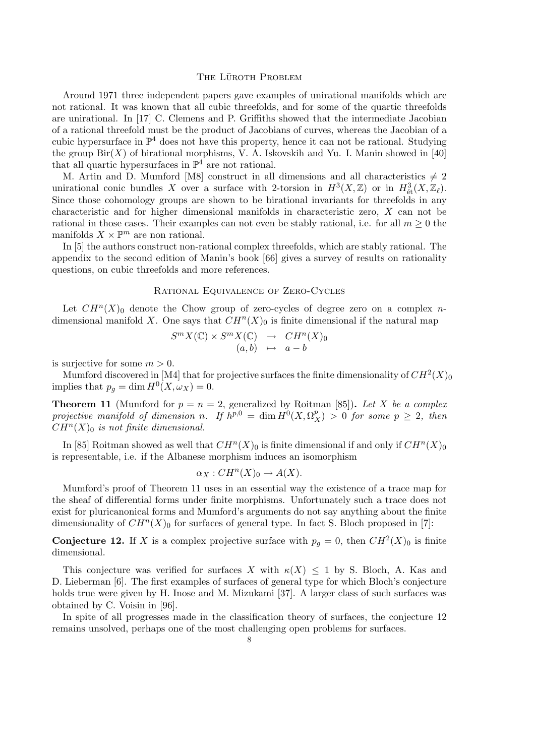# THE LÜROTH PROBLEM

Around 1971 three independent papers gave examples of unirational manifolds which are not rational. It was known that all cubic threefolds, and for some of the quartic threefolds are unirational. In [17] C. Clemens and P. Griffiths showed that the intermediate Jacobian of a rational threefold must be the product of Jacobians of curves, whereas the Jacobian of a cubic hypersurface in  $\mathbb{P}^4$  does not have this property, hence it can not be rational. Studying the group  $\text{Bir}(X)$  of birational morphisms, V. A. Iskovskih and Yu. I. Manin showed in [40] that all quartic hypersurfaces in  $\mathbb{P}^4$  are not rational.

M. Artin and D. Mumford [M8] construct in all dimensions and all characteristics  $\neq 2$ unirational conic bundles X over a surface with 2-torsion in  $H^3(X,\mathbb{Z})$  or in  $H^3_{\text{\'et}}(X,\mathbb{Z}_\ell)$ . Since those cohomology groups are shown to be birational invariants for threefolds in any characteristic and for higher dimensional manifolds in characteristic zero, X can not be rational in those cases. Their examples can not even be stably rational, i.e. for all  $m \geq 0$  the manifolds  $X \times \mathbb{P}^m$  are non rational.

In [5] the authors construct non-rational complex threefolds, which are stably rational. The appendix to the second edition of Manin's book [66] gives a survey of results on rationality questions, on cubic threefolds and more references.

# Rational Equivalence of Zero-Cycles

Let  $CH^n(X)$ <sup>0</sup> denote the Chow group of zero-cycles of degree zero on a complex ndimensional manifold X. One says that  $CH<sup>n</sup>(X)<sub>0</sub>$  is finite dimensional if the natural map

$$
S^{m} X(\mathbb{C}) \times S^{m} X(\mathbb{C}) \rightarrow CH^{n} (X)_{0}
$$
  
(a, b)  $\mapsto a - b$ 

is surjective for some  $m > 0$ .

Mumford discovered in [M4] that for projective surfaces the finite dimensionality of  $CH^2(X)_0$ implies that  $p_g = \dim H^0(X, \omega_X) = 0$ .

**Theorem 11** (Mumford for  $p = n = 2$ , generalized by Roitman [85]). Let X be a complex projective manifold of dimension n. If  $h^{p,0} = \dim H^0(X, \Omega_X^p) > 0$  for some  $p \geq 2$ , then  $CH<sup>n</sup>(X)<sub>0</sub>$  is not finite dimensional.

In [85] Roitman showed as well that  $CH^n(X)_0$  is finite dimensional if and only if  $CH^n(X)_0$ is representable, i.e. if the Albanese morphism induces an isomorphism

$$
\alpha_X: CH^n(X)_0 \to A(X).
$$

Mumford's proof of Theorem 11 uses in an essential way the existence of a trace map for the sheaf of differential forms under finite morphisms. Unfortunately such a trace does not exist for pluricanonical forms and Mumford's arguments do not say anything about the finite dimensionality of  $CH^n(X)_0$  for surfaces of general type. In fact S. Bloch proposed in [7]:

**Conjecture 12.** If X is a complex projective surface with  $p_g = 0$ , then  $CH^2(X)_0$  is finite dimensional.

This conjecture was verified for surfaces X with  $\kappa(X) \leq 1$  by S. Bloch, A. Kas and D. Lieberman [6]. The first examples of surfaces of general type for which Bloch's conjecture holds true were given by H. Inose and M. Mizukami [37]. A larger class of such surfaces was obtained by C. Voisin in [96].

In spite of all progresses made in the classification theory of surfaces, the conjecture 12 remains unsolved, perhaps one of the most challenging open problems for surfaces.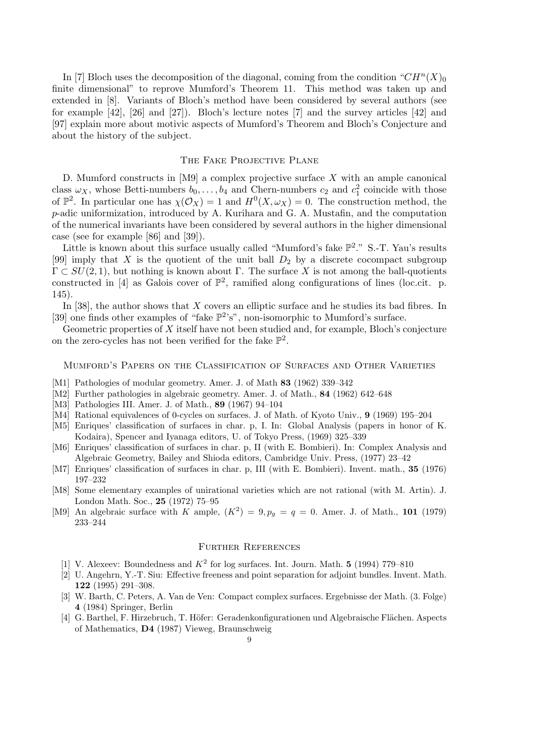In [7] Bloch uses the decomposition of the diagonal, coming from the condition  $"CH<sup>n</sup>(X)_{0}$ finite dimensional" to reprove Mumford's Theorem 11. This method was taken up and extended in [8]. Variants of Bloch's method have been considered by several authors (see for example [42], [26] and [27]). Bloch's lecture notes [7] and the survey articles [42] and [97] explain more about motivic aspects of Mumford's Theorem and Bloch's Conjecture and about the history of the subject.

### THE FAKE PROJECTIVE PLANE

D. Mumford constructs in [M9] a complex projective surface X with an ample canonical class  $\omega_X$ , whose Betti-numbers  $b_0, \ldots, b_4$  and Chern-numbers  $c_2$  and  $c_1^2$  coincide with those of  $\mathbb{P}^2$ . In particular one has  $\chi(\mathcal{O}_X) = 1$  and  $H^0(X, \omega_X) = 0$ . The construction method, the p-adic uniformization, introduced by A. Kurihara and G. A. Mustafin, and the computation of the numerical invariants have been considered by several authors in the higher dimensional case (see for example [86] and [39]).

Little is known about this surface usually called "Mumford's fake  $\mathbb{P}^2$ ." S.-T. Yau's results [99] imply that X is the quotient of the unit ball  $D_2$  by a discrete cocompact subgroup  $\Gamma \subset SU(2,1)$ , but nothing is known about  $\Gamma$ . The surface X is not among the ball-quotients constructed in [4] as Galois cover of  $\mathbb{P}^2$ , ramified along configurations of lines (loc.cit. p. 145).

In [38], the author shows that  $X$  covers an elliptic surface and he studies its bad fibres. In [39] one finds other examples of "fake  $\mathbb{P}^2$ 's", non-isomorphic to Mumford's surface.

Geometric properties of  $X$  itself have not been studied and, for example, Bloch's conjecture on the zero-cycles has not been verified for the fake  $\mathbb{P}^2$ .

#### Mumford's Papers on the Classification of Surfaces and Other Varieties

- [M1] Pathologies of modular geometry. Amer. J. of Math 83 (1962) 339–342
- [M2] Further pathologies in algebraic geometry. Amer. J. of Math., 84 (1962) 642–648
- [M3] Pathologies III. Amer. J. of Math., 89 (1967) 94-104
- [M4] Rational equivalences of 0-cycles on surfaces. J. of Math. of Kyoto Univ., 9 (1969) 195–204
- [M5] Enriques' classification of surfaces in char. p, I. In: Global Analysis (papers in honor of K. Kodaira), Spencer and Iyanaga editors, U. of Tokyo Press, (1969) 325–339
- [M6] Enriques' classification of surfaces in char. p, II (with E. Bombieri). In: Complex Analysis and Algebraic Geometry, Bailey and Shioda editors, Cambridge Univ. Press, (1977) 23–42
- [M7] Enriques' classification of surfaces in char. p, III (with E. Bombieri). Invent. math., 35 (1976) 197–232
- [M8] Some elementary examples of unirational varieties which are not rational (with M. Artin). J. London Math. Soc., 25 (1972) 75–95
- [M9] An algebraic surface with K ample,  $(K^2) = 9, p_g = q = 0$ . Amer. J. of Math., 101 (1979) 233–244

# Further References

- [1] V. Alexeev: Boundedness and  $K^2$  for log surfaces. Int. Journ. Math. 5 (1994) 779–810
- [2] U. Angehrn, Y.-T. Siu: Effective freeness and point separation for adjoint bundles. Invent. Math. 122 (1995) 291–308.
- [3] W. Barth, C. Peters, A. Van de Ven: Compact complex surfaces. Ergebnisse der Math. (3. Folge) 4 (1984) Springer, Berlin
- [4] G. Barthel, F. Hirzebruch, T. Höfer: Geradenkonfigurationen und Algebraische Flächen. Aspects of Mathematics, D4 (1987) Vieweg, Braunschweig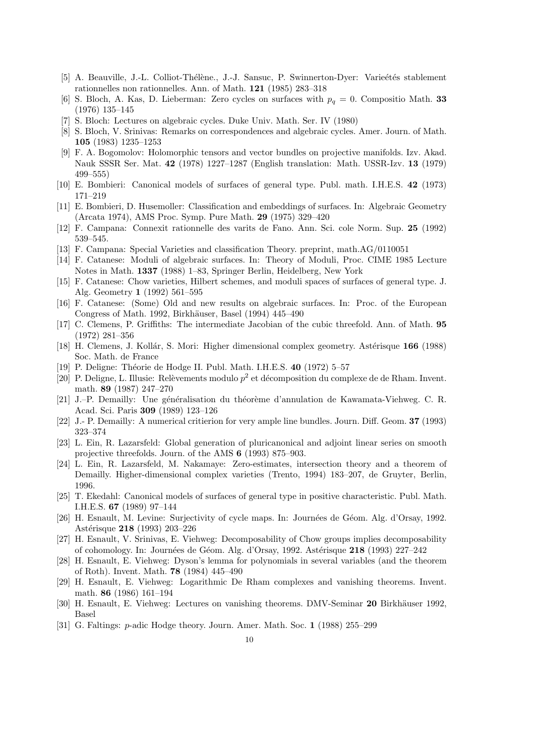- [5] A. Beauville, J.-L. Colliot-Thélène., J.-J. Sansuc, P. Swinnerton-Dyer: Varieétés stablement rationnelles non rationnelles. Ann. of Math. 121 (1985) 283–318
- [6] S. Bloch, A. Kas, D. Lieberman: Zero cycles on surfaces with  $p_q = 0$ . Compositio Math. 33 (1976) 135–145
- [7] S. Bloch: Lectures on algebraic cycles. Duke Univ. Math. Ser. IV (1980)
- [8] S. Bloch, V. Srinivas: Remarks on correspondences and algebraic cycles. Amer. Journ. of Math. 105 (1983) 1235–1253
- [9] F. A. Bogomolov: Holomorphic tensors and vector bundles on projective manifolds. Izv. Akad. Nauk SSSR Ser. Mat. 42 (1978) 1227–1287 (English translation: Math. USSR-Izv. 13 (1979) 499–555)
- [10] E. Bombieri: Canonical models of surfaces of general type. Publ. math. I.H.E.S. 42 (1973) 171–219
- [11] E. Bombieri, D. Husemoller: Classification and embeddings of surfaces. In: Algebraic Geometry (Arcata 1974), AMS Proc. Symp. Pure Math. 29 (1975) 329–420
- [12] F. Campana: Connexit rationnelle des varits de Fano. Ann. Sci. cole Norm. Sup. 25 (1992) 539–545.
- [13] F. Campana: Special Varieties and classification Theory. preprint, math.AG/0110051
- [14] F. Catanese: Moduli of algebraic surfaces. In: Theory of Moduli, Proc. CIME 1985 Lecture Notes in Math. 1337 (1988) 1–83, Springer Berlin, Heidelberg, New York
- [15] F. Catanese: Chow varieties, Hilbert schemes, and moduli spaces of surfaces of general type. J. Alg. Geometry 1 (1992) 561–595
- [16] F. Catanese: (Some) Old and new results on algebraic surfaces. In: Proc. of the European Congress of Math. 1992, Birkhäuser, Basel (1994) 445–490
- [17] C. Clemens, P. Griffiths: The intermediate Jacobian of the cubic threefold. Ann. of Math. 95 (1972) 281–356
- [18] H. Clemens, J. Kollár, S. Mori: Higher dimensional complex geometry. Astérisque 166 (1988) Soc. Math. de France
- [19] P. Deligne: Théorie de Hodge II. Publ. Math. I.H.E.S. 40 (1972) 5-57
- [20] P. Deligne, L. Illusie: Relèvements modulo  $p^2$  et décomposition du complexe de de Rham. Invent. math. 89 (1987) 247–270
- [21] J.–P. Demailly: Une généralisation du théorème d'annulation de Kawamata-Viehweg. C. R. Acad. Sci. Paris 309 (1989) 123–126
- [22] J.- P. Demailly: A numerical critierion for very ample line bundles. Journ. Diff. Geom. 37 (1993) 323–374
- [23] L. Ein, R. Lazarsfeld: Global generation of pluricanonical and adjoint linear series on smooth projective threefolds. Journ. of the AMS 6 (1993) 875–903.
- [24] L. Ein, R. Lazarsfeld, M. Nakamaye: Zero-estimates, intersection theory and a theorem of Demailly. Higher-dimensional complex varieties (Trento, 1994) 183–207, de Gruyter, Berlin, 1996.
- [25] T. Ekedahl: Canonical models of surfaces of general type in positive characteristic. Publ. Math. I.H.E.S. 67 (1989) 97–144
- [26] H. Esnault, M. Levine: Surjectivity of cycle maps. In: Journées de Géom. Alg. d'Orsay, 1992. Astérisque 218 (1993) 203-226
- [27] H. Esnault, V. Srinivas, E. Viehweg: Decomposability of Chow groups implies decomposability of cohomology. In: Journées de Géom. Alg. d'Orsay, 1992. Astérisque 218 (1993) 227–242
- [28] H. Esnault, E. Viehweg: Dyson's lemma for polynomials in several variables (and the theorem of Roth). Invent. Math. 78 (1984) 445–490
- [29] H. Esnault, E. Viehweg: Logarithmic De Rham complexes and vanishing theorems. Invent. math. 86 (1986) 161–194
- [30] H. Esnault, E. Viehweg: Lectures on vanishing theorems. DMV-Seminar 20 Birkhäuser 1992. Basel
- [31] G. Faltings: p-adic Hodge theory. Journ. Amer. Math. Soc. 1 (1988) 255–299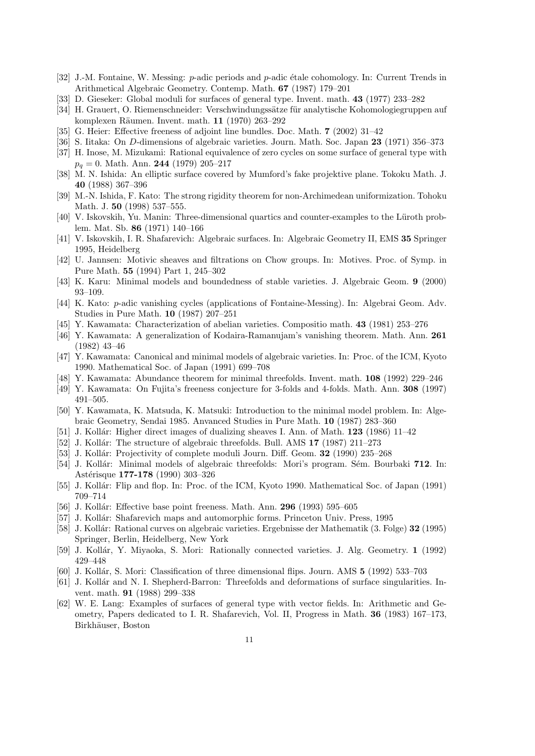- [32] J.-M. Fontaine, W. Messing: p-adic periods and p-adic étale cohomology. In: Current Trends in Arithmetical Algebraic Geometry. Contemp. Math. 67 (1987) 179–201
- [33] D. Gieseker: Global moduli for surfaces of general type. Invent. math. 43 (1977) 233–282
- [34] H. Grauert, O. Riemenschneider: Verschwindungssätze für analytische Kohomologiegruppen auf komplexen Räumen. Invent. math. 11 (1970) 263–292
- [35] G. Heier: Effective freeness of adjoint line bundles. Doc. Math. 7 (2002) 31–42
- [36] S. Iitaka: On D-dimensions of algebraic varieties. Journ. Math. Soc. Japan 23 (1971) 356-373
- [37] H. Inose, M. Mizukami: Rational equivalence of zero cycles on some surface of general type with  $p_q = 0$ . Math. Ann. 244 (1979) 205–217
- [38] M. N. Ishida: An elliptic surface covered by Mumford's fake projektive plane. Tokoku Math. J. 40 (1988) 367–396
- [39] M.-N. Ishida, F. Kato: The strong rigidity theorem for non-Archimedean uniformization. Tohoku Math. J. 50 (1998) 537–555.
- [40] V. Iskovskih, Yu. Manin: Three-dimensional quartics and counter-examples to the Lüroth problem. Mat. Sb. 86 (1971) 140–166
- [41] V. Iskovskih, I. R. Shafarevich: Algebraic surfaces. In: Algebraic Geometry II, EMS 35 Springer 1995, Heidelberg
- [42] U. Jannsen: Motivic sheaves and filtrations on Chow groups. In: Motives. Proc. of Symp. in Pure Math. 55 (1994) Part 1, 245–302
- [43] K. Karu: Minimal models and boundedness of stable varieties. J. Algebraic Geom. 9 (2000) 93–109.
- [44] K. Kato: p-adic vanishing cycles (applications of Fontaine-Messing). In: Algebrai Geom. Adv. Studies in Pure Math. 10 (1987) 207–251
- [45] Y. Kawamata: Characterization of abelian varieties. Compositio math. 43 (1981) 253–276
- [46] Y. Kawamata: A generalization of Kodaira-Ramanujam's vanishing theorem. Math. Ann. 261 (1982) 43–46
- [47] Y. Kawamata: Canonical and minimal models of algebraic varieties. In: Proc. of the ICM, Kyoto 1990. Mathematical Soc. of Japan (1991) 699–708
- [48] Y. Kawamata: Abundance theorem for minimal threefolds. Invent. math. 108 (1992) 229–246
- [49] Y. Kawamata: On Fujita's freeness conjecture for 3-folds and 4-folds. Math. Ann. 308 (1997) 491–505.
- [50] Y. Kawamata, K. Matsuda, K. Matsuki: Introduction to the minimal model problem. In: Algebraic Geometry, Sendai 1985. Anvanced Studies in Pure Math. 10 (1987) 283–360
- [51] J. Kollár: Higher direct images of dualizing sheaves I. Ann. of Math.  $123$  (1986) 11–42
- [52] J. Kollár: The structure of algebraic threefolds. Bull. AMS  $17$  (1987) 211–273
- [53] J. Kollár: Projectivity of complete moduli Journ. Diff. Geom. **32** (1990) 235–268
- [54] J. Kollár: Minimal models of algebraic threefolds: Mori's program. Sém. Bourbaki 712. In: Astérisque 177-178 (1990) 303-326
- [55] J. Kollár: Flip and flop. In: Proc. of the ICM, Kyoto 1990. Mathematical Soc. of Japan (1991) 709–714
- [56] J. Kollár: Effective base point freeness. Math. Ann. 296 (1993) 595–605
- [57] J. Kollár: Shafarevich maps and automorphic forms. Princeton Univ. Press, 1995
- [58] J. Kollár: Rational curves on algebraic varieties. Ergebnisse der Mathematik (3. Folge) 32 (1995) Springer, Berlin, Heidelberg, New York
- [59] J. Kollár, Y. Miyaoka, S. Mori: Rationally connected varieties. J. Alg. Geometry. 1 (1992) 429–448
- [60] J. Kollár, S. Mori: Classification of three dimensional flips. Journ. AMS 5 (1992) 533–703
- [61] J. Kollár and N. I. Shepherd-Barron: Threefolds and deformations of surface singularities. Invent. math. 91 (1988) 299–338
- [62] W. E. Lang: Examples of surfaces of general type with vector fields. In: Arithmetic and Geometry, Papers dedicated to I. R. Shafarevich, Vol. II, Progress in Math. 36 (1983) 167–173, Birkhäuser, Boston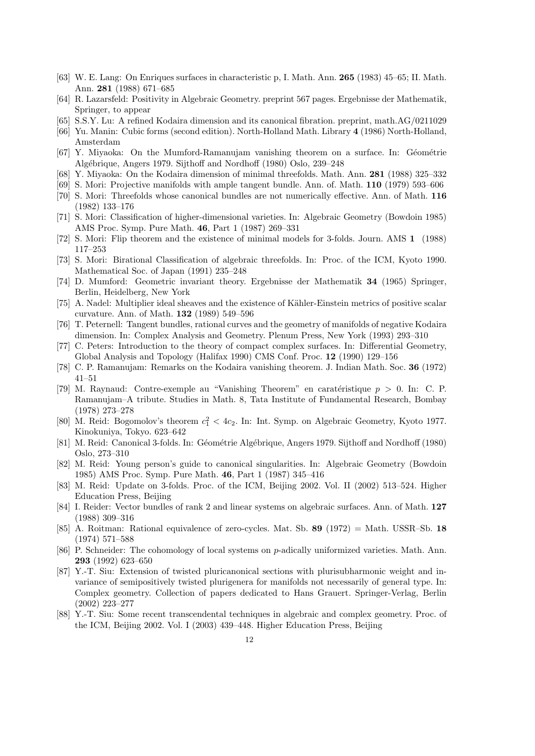- [63] W. E. Lang: On Enriques surfaces in characteristic p, I. Math. Ann. 265 (1983) 45–65; II. Math. Ann. 281 (1988) 671–685
- [64] R. Lazarsfeld: Positivity in Algebraic Geometry. preprint 567 pages. Ergebnisse der Mathematik, Springer, to appear
- [65] S.S.Y. Lu: A refined Kodaira dimension and its canonical fibration. preprint, math.AG/0211029
- [66] Yu. Manin: Cubic forms (second edition). North-Holland Math. Library 4 (1986) North-Holland, Amsterdam
- [67] Y. Miyaoka: On the Mumford-Ramanujam vanishing theorem on a surface. In: Géométrie Alg´ebrique, Angers 1979. Sijthoff and Nordhoff (1980) Oslo, 239–248
- [68] Y. Miyaoka: On the Kodaira dimension of minimal threefolds. Math. Ann. 281 (1988) 325–332
- [69] S. Mori: Projective manifolds with ample tangent bundle. Ann. of. Math. 110 (1979) 593–606
- [70] S. Mori: Threefolds whose canonical bundles are not numerically effective. Ann. of Math. 116 (1982) 133–176
- [71] S. Mori: Classification of higher-dimensional varieties. In: Algebraic Geometry (Bowdoin 1985) AMS Proc. Symp. Pure Math. 46, Part 1 (1987) 269–331
- [72] S. Mori: Flip theorem and the existence of minimal models for 3-folds. Journ. AMS 1 (1988) 117–253
- [73] S. Mori: Birational Classification of algebraic threefolds. In: Proc. of the ICM, Kyoto 1990. Mathematical Soc. of Japan (1991) 235–248
- [74] D. Mumford: Geometric invariant theory. Ergebnisse der Mathematik 34 (1965) Springer, Berlin, Heidelberg, New York
- [75] A. Nadel: Multiplier ideal sheaves and the existence of Kähler-Einstein metrics of positive scalar curvature. Ann. of Math. 132 (1989) 549–596
- [76] T. Peternell: Tangent bundles, rational curves and the geometry of manifolds of negative Kodaira dimension. In: Complex Analysis and Geometry. Plenum Press, New York (1993) 293–310
- [77] C. Peters: Introduction to the theory of compact complex surfaces. In: Differential Geometry, Global Analysis and Topology (Halifax 1990) CMS Conf. Proc. 12 (1990) 129–156
- [78] C. P. Ramanujam: Remarks on the Kodaira vanishing theorem. J. Indian Math. Soc. 36 (1972) 41–51
- [79] M. Raynaud: Contre-exemple au "Vanishing Theorem" en caratéristique  $p > 0$ . In: C. P. Ramanujam–A tribute. Studies in Math. 8, Tata Institute of Fundamental Research, Bombay (1978) 273–278
- [80] M. Reid: Bogomolov's theorem  $c_1^2 < 4c_2$ . In: Int. Symp. on Algebraic Geometry, Kyoto 1977. Kinokuniya, Tokyo. 623–642
- [81] M. Reid: Canonical 3-folds. In: Géométrie Algébrique, Angers 1979. Sijthoff and Nordhoff (1980) Oslo, 273–310
- [82] M. Reid: Young person's guide to canonical singularities. In: Algebraic Geometry (Bowdoin 1985) AMS Proc. Symp. Pure Math. 46, Part 1 (1987) 345–416
- [83] M. Reid: Update on 3-folds. Proc. of the ICM, Beijing 2002. Vol. II (2002) 513–524. Higher Education Press, Beijing
- [84] I. Reider: Vector bundles of rank 2 and linear systems on algebraic surfaces. Ann. of Math. 127 (1988) 309–316
- [85] A. Roitman: Rational equivalence of zero-cycles. Mat. Sb.  $89$  (1972) = Math. USSR–Sb. 18 (1974) 571–588
- [86] P. Schneider: The cohomology of local systems on p-adically uniformized varieties. Math. Ann. 293 (1992) 623–650
- [87] Y.-T. Siu: Extension of twisted pluricanonical sections with plurisubharmonic weight and invariance of semipositively twisted plurigenera for manifolds not necessarily of general type. In: Complex geometry. Collection of papers dedicated to Hans Grauert. Springer-Verlag, Berlin (2002) 223–277
- [88] Y.-T. Siu: Some recent transcendental techniques in algebraic and complex geometry. Proc. of the ICM, Beijing 2002. Vol. I (2003) 439–448. Higher Education Press, Beijing